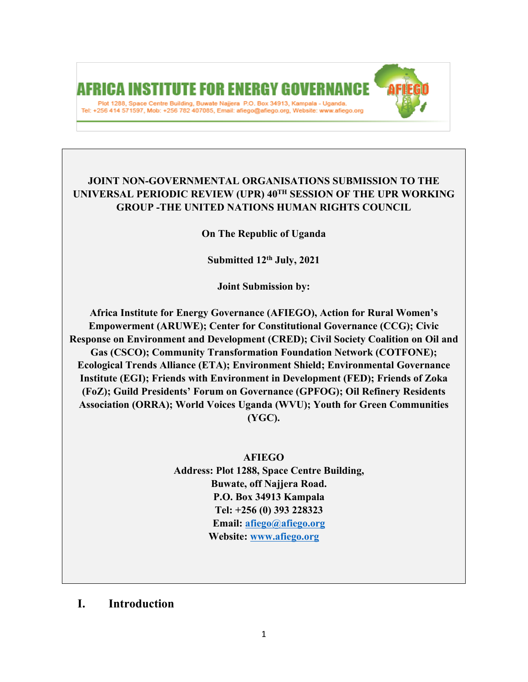# AFRICA INSTITUTE FOR ENERGY G Plot 1288, Space Centre Building, Buwate Najjera P.O. Box 34913, Kampala - Uganda. Tel: +256 414 571597, Mob: +256 782 407085, Email: afiego@afiego.org, Website: www.afiego.org

## **JOINT NON-GOVERNMENTAL ORGANISATIONS SUBMISSION TO THE UNIVERSAL PERIODIC REVIEW (UPR) 40TH SESSION OF THE UPR WORKING GROUP -THE UNITED NATIONS HUMAN RIGHTS COUNCIL**

**On The Republic of Uganda**

**Submitted 12th July, 2021**

**Joint Submission by:**

**Africa Institute for Energy Governance (AFIEGO), Action for Rural Women'<sup>s</sup> Empowerment (ARUWE); Center for Constitutional Governance (CCG); Civic Response on Environment and Development (CRED); Civil Society Coalition on Oil and Gas (CSCO); Community Transformation Foundation Network (COTFONE); Ecological Trends Alliance (ETA); Environment Shield; Environmental Governance Institute (EGI); Friends with Environment in Development (FED); Friends of Zoka (FoZ); Guild Presidents' Forum on Governance (GPFOG); Oil Refinery Residents Association (ORRA); World Voices Uganda (WVU); Youth for Green Communities (YGC).**

**AFIEGO**

**Address: Plot 1288, Space Centre Building, Buwate, off Najjera Road. P.O. Box 34913 Kampala Tel: +256 (0) 393 228323 Email: [afiego@afiego.org](mailto:afiego@afiego.org) Website: [www.afiego.org](http://www.afiego.org)**

**I. Introduction**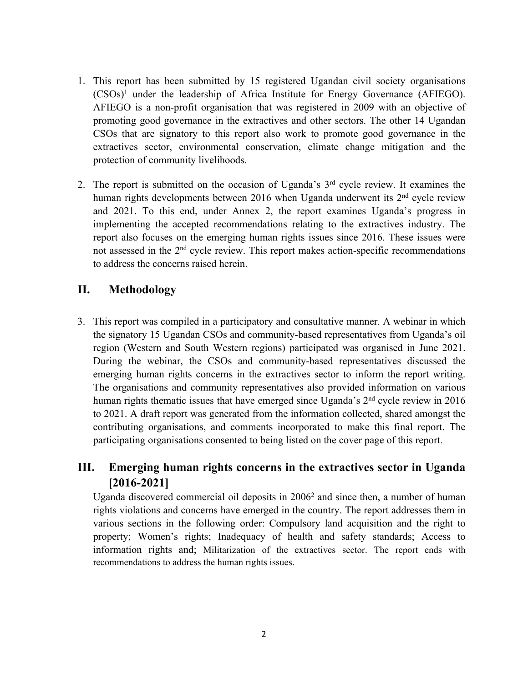- 1. This repor<sup>t</sup> has been submitted by 15 registered Ugandan civil society organisations (CSOs) 1 under the leadership of Africa Institute for Energy Governance (AFIEGO). AFIEGO is <sup>a</sup> non-profit organisation that was registered in 2009 with an objective of promoting good governance in the extractives and other sectors. The other 14 Ugandan CSOs that are signatory to this repor<sup>t</sup> also work to promote good governance in the extractives sector, environmental conservation, climate change mitigation and the protection of community livelihoods.
- 2. The report is submitted on the occasion of Uganda's 3<sup>rd</sup> cycle review. It examines the human rights developments between 2016 when Uganda underwent its 2<sup>nd</sup> cycle review and 2021. To this end, under Annex 2, the repor<sup>t</sup> examines Uganda'<sup>s</sup> progress in implementing the accepted recommendations relating to the extractives industry. The repor<sup>t</sup> also focuses on the emerging human rights issues since 2016. These issues were not assessed in the 2<sup>nd</sup> cycle review. This report makes action-specific recommendations to address the concerns raised herein.

## **II. Methodology**

3. This repor<sup>t</sup> was compiled in <sup>a</sup> participatory and consultative manner. A webinar in which the signatory 15 Ugandan CSOs and community-based representatives from Uganda'<sup>s</sup> oil region (Western and South Western regions) participated was organised in June 2021. During the webinar, the CSOs and community-based representatives discussed the emerging human rights concerns in the extractives sector to inform the repor<sup>t</sup> writing. The organisations and community representatives also provided information on various human rights thematic issues that have emerged since Uganda's 2<sup>nd</sup> cycle review in 2016 to 2021. Adraft repor<sup>t</sup> was generated from the information collected, shared amongs<sup>t</sup> the contributing organisations, and comments incorporated to make this final report. The participating organisations consented to being listed on the cover page of this report.

## **III. Emerging human rights concerns in the extractives sector in Uganda [2016-2021]**

Uganda discovered commercial oil deposits in 2006<sup>2</sup> and since then, a number of human rights violations and concerns have emerged in the country. The repor<sup>t</sup> addresses them in various sections in the following order: Compulsory land acquisition and the right to property; Women'<sup>s</sup> rights; Inadequacy of health and safety standards; Access to information rights and; Militarization of the extractives sector. The repor<sup>t</sup> ends with recommendations to address the human rights issues.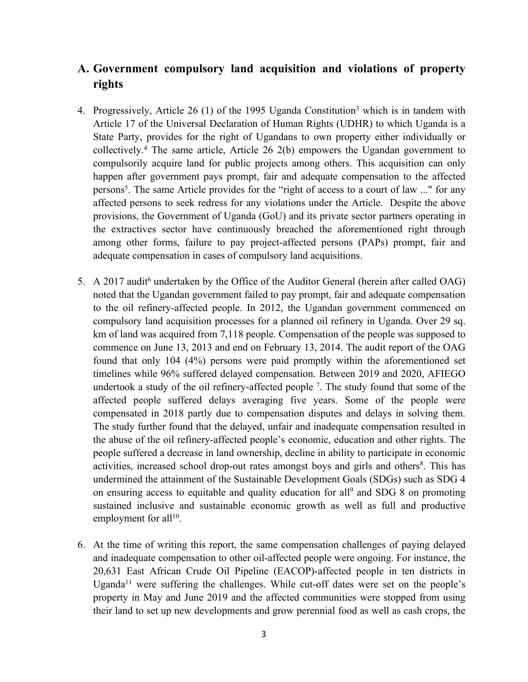## **A. Government compulsory land acquisition and violations of property rights**

- 4. Progressively, Article 26 (1) of the 1995 Uganda Constitution<sup>3</sup> which is in tandem with Article 17 of the Universal Declaration of Human Rights (UDHR) to which Uganda is <sup>a</sup> State Party, provides for the right of Ugandans to own property either individually or collectively. 4 The same article, Article 26 2(b) empowers the Ugandan governmen<sup>t</sup> to compulsorily acquire land for public projects among others. This acquisition can only happen after governmen<sup>t</sup> pays prompt, fair and adequate compensation to the affected persons 5 . The same Article provides for the "right of access to <sup>a</sup> court of law ..." for any affected persons to seek redress for any violations under the Article. Despite the above provisions, the Government of Uganda (GoU) and its private sector partners operating in the extractives sector have continuously breached the aforementioned right through among other forms, failure to pay project-affected persons (PAPs) prompt, fair and adequate compensation in cases of compulsory land acquisitions.
- 5. A 2017 audit<sup>6</sup> undertaken by the Office of the Auditor General (herein after called OAG) noted that the Ugandan governmen<sup>t</sup> failed to pay prompt, fair and adequate compensation to the oil refinery-affected people. In 2012, the Ugandan governmen<sup>t</sup> commenced on compulsory land acquisition processes for <sup>a</sup> planned oil refinery in Uganda. Over 29 sq. km of land was acquired from 7,118 people. Compensation of the people was supposed to commence on June 13, 2013 and end on February 13, 2014. The audit repor<sup>t</sup> of the OAG found that only 104 (4%) persons were paid promptly within the aforementioned set timelines while 96% suffered delayed compensation. Between 2019 and 2020, AFIEGO undertook a study of the oil refinery-affected people <sup>7</sup>. The study found that some of the affected people suffered delays averaging five years. Some of the people were compensated in 2018 partly due to compensation disputes and delays in solving them. The study further found that the delayed, unfair and inadequate compensation resulted in the abuse of the oil refinery-affected people'<sup>s</sup> economic, education and other rights. The people suffered <sup>a</sup> decrease in land ownership, decline in ability to participate in economic activities, increased school drop-out rates amongs<sup>t</sup> boys and girls and others 8 . This has undermined the attainment of the Sustainable Development Goals (SDGs) such as SDG 4 on ensuring access to equitable and quality education for all<sup>9</sup> and SDG 8 on promoting sustained inclusive and sustainable economic growth as well as full and productive employment for all<sup>10</sup>.
- 6. At the time of writing this report, the same compensation challenges of paying delayed and inadequate compensation to other oil-affected people were ongoing. For instance, the 20,631 East African Crude Oil Pipeline (EACOP)-affected people in ten districts in Uganda<sup>11</sup> were suffering the challenges. While cut-off dates were set on the people's property in May and June 2019 and the affected communities were stopped from using their land to set up new developments and grow perennial food as well as cash crops, the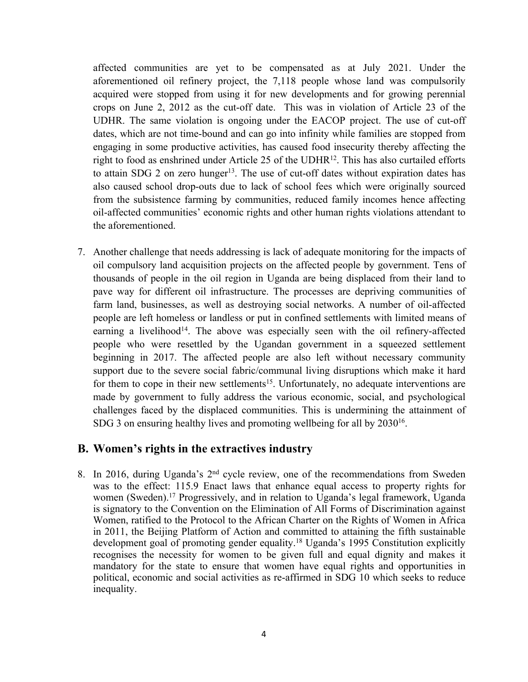affected communities are ye<sup>t</sup> to be compensated as at July 2021. Under the aforementioned oil refinery project, the 7,118 people whose land was compulsorily acquired were stopped from using it for new developments and for growing perennial crops on June 2, 2012 as the cut-off date. This was in violation of Article 23 of the UDHR. The same violation is ongoing under the EACOP project. The use of cut-off dates, which are not time-bound and can go into infinity while families are stopped from engaging in some productive activities, has caused food insecurity thereby affecting the right to food as enshrined under Article 25 of the UDHR<sup>12</sup>. This has also curtailed efforts to attain SDG 2 on zero hunger 13 . The use of cut-off dates without expiration dates has also caused school drop-outs due to lack of school fees which were originally sourced from the subsistence farming by communities, reduced family incomes hence affecting oil-affected communities' economic rights and other human rights violations attendant to the aforementioned.

7. Another challenge that needs addressing is lack of adequate monitoring for the impacts of oil compulsory land acquisition projects on the affected people by government. Tens of thousands of people in the oil region in Uganda are being displaced from their land to pave way for different oil infrastructure. The processes are depriving communities of farm land, businesses, as well as destroying social networks. A number of oil-affected people are left homeless or landless or pu<sup>t</sup> in confined settlements with limited means of earning a livelihood<sup>14</sup>. The above was especially seen with the oil refinery-affected people who were resettled by the Ugandan governmen<sup>t</sup> in <sup>a</sup> squeezed settlement beginning in 2017. The affected people are also left without necessary community suppor<sup>t</sup> due to the severe social fabric/communal living disruptions which make it hard for them to cope in their new settlements<sup>15</sup>. Unfortunately, no adequate interventions are made by governmen<sup>t</sup> to fully address the various economic, social, and psychological challenges faced by the displaced communities. This is undermining the attainment of SDG 3 on ensuring healthy lives and promoting wellbeing for all by  $2030^{16}$ .

#### **B. Women'<sup>s</sup> rights in the extractives industry**

8. In 2016, during Uganda's 2<sup>nd</sup> cycle review, one of the recommendations from Sweden was to the effect: 115.9 Enact laws that enhance equal access to property rights for women (Sweden). 17 Progressively, and in relation to Uganda'<sup>s</sup> legal framework, Uganda is signatory to the Convention on the Elimination of All Forms of Discrimination against Women, ratified to the Protocol to the African Charter on the Rights of Women in Africa in 2011, the Beijing Platform of Action and committed to attaining the fifth sustainable development goal of promoting gender equality. <sup>18</sup> Uganda'<sup>s</sup> 1995 Constitution explicitly recognises the necessity for women to be given full and equal dignity and makes it mandatory for the state to ensure that women have equal rights and opportunities in political, economic and social activities as re-affirmed in SDG 10 which seeks to reduce inequality.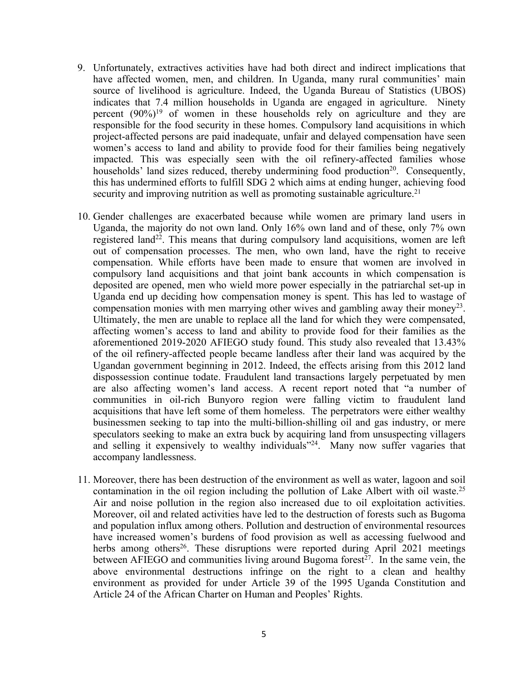- 9. Unfortunately, extractives activities have had both direct and indirect implications that have affected women, men, and children. In Uganda, many rural communities' main source of livelihood is agriculture. Indeed, the Uganda Bureau of Statistics (UBOS) indicates that 7.4 million households in Uganda are engaged in agriculture. Ninety percen<sup>t</sup> (90%) 19 of women in these households rely on agriculture and they are responsible for the food security in these homes. Compulsory land acquisitions in which project-affected persons are paid inadequate, unfair and delayed compensation have seen women'<sup>s</sup> access to land and ability to provide food for their families being negatively impacted. This was especially seen with the oil refinery-affected families whose households' land sizes reduced, thereby undermining food production<sup>20</sup>. Consequently, this has undermined efforts to fulfill SDG 2 which aims at ending hunger, achieving food security and improving nutrition as well as promoting sustainable agriculture.<sup>21</sup>
- 10. Gender challenges are exacerbated because while women are primary land users in Uganda, the majority do not own land. Only 16% own land and of these, only 7% own registered land<sup>22</sup>. This means that during compulsory land acquisitions, women are left out of compensation processes. The men, who own land, have the right to receive compensation. While efforts have been made to ensure that women are involved in compulsory land acquisitions and that joint bank accounts in which compensation is deposited are opened, men who wield more power especially in the patriarchal set-up in Uganda end up deciding how compensation money is spent. This has led to wastage of compensation monies with men marrying other wives and gambling away their money<sup>23</sup>. Ultimately, the men are unable to replace all the land for which they were compensated, affecting women'<sup>s</sup> access to land and ability to provide food for their families as the aforementioned 2019-2020 AFIEGO study found. This study also revealed that 13.43% of the oil refinery-affected people became landless after their land was acquired by the Ugandan governmen<sup>t</sup> beginning in 2012. Indeed, the effects arising from this 2012 land dispossession continue todate. Fraudulent land transactions largely perpetuated by men are also affecting women'<sup>s</sup> land access. A recent repor<sup>t</sup> noted that "<sup>a</sup> number of communities in oil-rich Bunyoro region were falling victim to fraudulent land acquisitions that have left some of them homeless. The perpetrators were either wealthy businessmen seeking to tap into the multi-billion-shilling oil and gas industry, or mere speculators seeking to make an extra buck by acquiring land from unsuspecting villagers and selling it expensively to wealthy individuals"<sup>24</sup>. Many now suffer vagaries that accompany landlessness.
- 11. Moreover, there has been destruction of the environment as well as water, lagoon and soil contamination in the oil region including the pollution of Lake Albert with oil waste. 25 Air and noise pollution in the region also increased due to oil exploitation activities. Moreover, oil and related activities have led to the destruction of forests such as Bugoma and population influx among others. Pollution and destruction of environmental resources have increased women'<sup>s</sup> burdens of food provision as well as accessing fuelwood and herbs among others<sup>26</sup>. These disruptions were reported during April 2021 meetings between AFIEGO and communities living around Bugoma forest<sup>27</sup>. In the same vein, the above environmental destructions infringe on the right to <sup>a</sup> clean and healthy environment as provided for under Article 39 of the 1995 Uganda Constitution and Article 24 of the African Charter on Human and Peoples' Rights.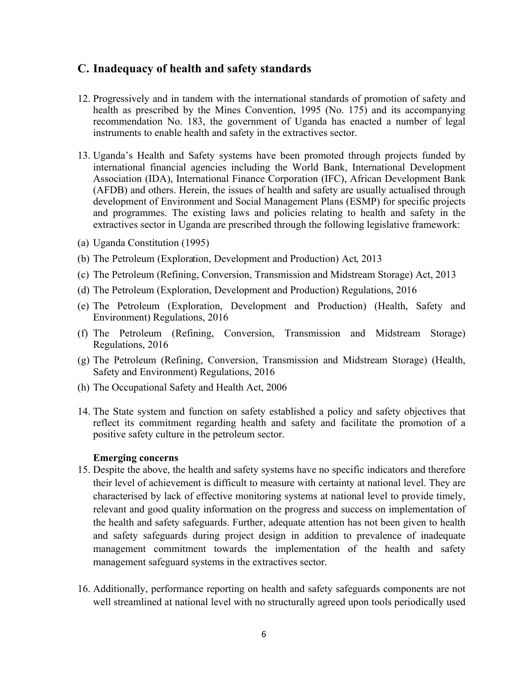#### **C. Inadequacy of health and safety standards**

- 12. Progressively and in tandem with the international standards of promotion of safety and health as prescribed by the Mines Convention, 1995 (No. 175) and its accompanying recommendation No. 183, the governmen<sup>t</sup> of Uganda has enacted <sup>a</sup> number of legal instruments to enable health and safety in the extractives sector.
- 13. Uganda'<sup>s</sup> Health and Safety systems have been promoted through projects funded by international financial agencies including the World Bank, International Development Association (IDA), International Finance Corporation (IFC), African Development Bank (AFDB) and others. Herein, the issues of health and safety are usually actualised through development of Environment and Social Management Plans (ESMP) for specific projects and programmes. The existing laws and policies relating to health and safety in the extractives sector in Uganda are prescribed through the following legislative framework:
- (a) Uganda Constitution (1995)
- (b) The Petroleum (Exploration, Development and Production) Act, 2013
- (c) The Petroleum (Refining, Conversion, Transmission and Midstream Storage) Act, 2013
- (d) The Petroleum (Exploration, Development and Production) Regulations, 2016
- (e) The Petroleum (Exploration, Development and Production) (Health, Safety and Environment) Regulations, 2016
- (f) The Petroleum (Refining, Conversion, Transmission and Midstream Storage) Regulations, 2016
- (g) The Petroleum (Refining, Conversion, Transmission and Midstream Storage) (Health, Safety and Environment) Regulations, 2016
- (h) The Occupational Safety and Health Act, 2006
- 14. The State system and function on safety established <sup>a</sup> policy and safety objectives that reflect its commitment regarding health and safety and facilitate the promotion of <sup>a</sup> positive safety culture in the petroleum sector.

#### **Emerging concerns**

- 15. Despite the above, the health and safety systems have no specific indicators and therefore their level of achievement is difficult to measure with certainty at national level. They are characterised by lack of effective monitoring systems at national level to provide timely, relevant and good quality information on the progress and success on implementation of the health and safety safeguards. Further, adequate attention has not been given to health and safety safeguards during project design in addition to prevalence of inadequate managemen<sup>t</sup> commitment towards the implementation of the health and safety managemen<sup>t</sup> safeguard systems in the extractives sector.
- 16. Additionally, performance reporting on health and safety safeguards components are not well streamlined at national level with no structurally agreed upon tools periodically used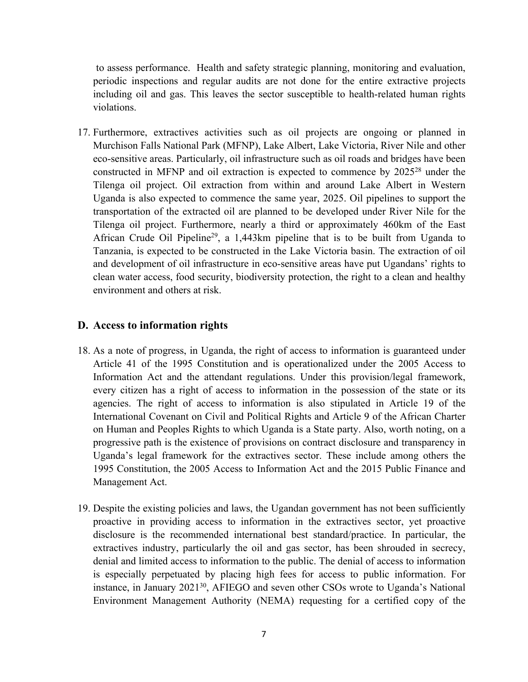to assess performance. Health and safety strategic planning, monitoring and evaluation, periodic inspections and regular audits are not done for the entire extractive projects including oil and gas. This leaves the sector susceptible to health-related human rights violations.

17. Furthermore, extractives activities such as oil projects are ongoing or planned in Murchison Falls National Park (MFNP), Lake Albert, Lake Victoria, River Nile and other eco-sensitive areas. Particularly, oil infrastructure such as oil roads and bridges have been constructed in MFNP and oil extraction is expected to commence by 2025<sup>28</sup> under the Tilenga oil project. Oil extraction from within and around Lake Albert in Western Uganda is also expected to commence the same year, 2025. Oil pipelines to suppor<sup>t</sup> the transportation of the extracted oil are planned to be developed under River Nile for the Tilenga oil project. Furthermore, nearly <sup>a</sup> third or approximately 460km of the East African Crude Oil Pipeline<sup>29</sup>, a 1,443km pipeline that is to be built from Uganda to Tanzania, is expected to be constructed in the Lake Victoria basin. The extraction of oil and development of oil infrastructure in eco-sensitive areas have pu<sup>t</sup> Ugandans' rights to clean water access, food security, biodiversity protection, the right to <sup>a</sup> clean and healthy environment and others at risk.

#### **D. Access to information rights**

- 18. As <sup>a</sup> note of progress, in Uganda, the right of access to information is guaranteed under Article 41 of the 1995 Constitution and is operationalized under the 2005 Access to Information Act and the attendant regulations. Under this provision/legal framework, every citizen has <sup>a</sup> right of access to information in the possession of the state or its agencies. The right of access to information is also stipulated in Article 19 of the International Covenant on Civil and Political Rights and Article 9 of the African Charter on Human and Peoples Rights to which Uganda is <sup>a</sup> State party. Also, worth noting, on <sup>a</sup> progressive path is the existence of provisions on contract disclosure and transparency in Uganda'<sup>s</sup> legal framework for the extractives sector. These include among others the 1995 Constitution, the 2005 Access to Information Act and the 2015 Public Finance and Management Act.
- 19. Despite the existing policies and laws, the Ugandan governmen<sup>t</sup> has not been sufficiently proactive in providing access to information in the extractives sector, ye<sup>t</sup> proactive disclosure is the recommended international best standard/practice. In particular, the extractives industry, particularly the oil and gas sector, has been shrouded in secrecy, denial and limited access to information to the public. The denial of access to information is especially perpetuated by placing high fees for access to public information. For instance, in January 2021<sup>30</sup>, AFIEGO and seven other CSOs wrote to Uganda's National Environment Management Authority (NEMA) requesting for <sup>a</sup> certified copy of the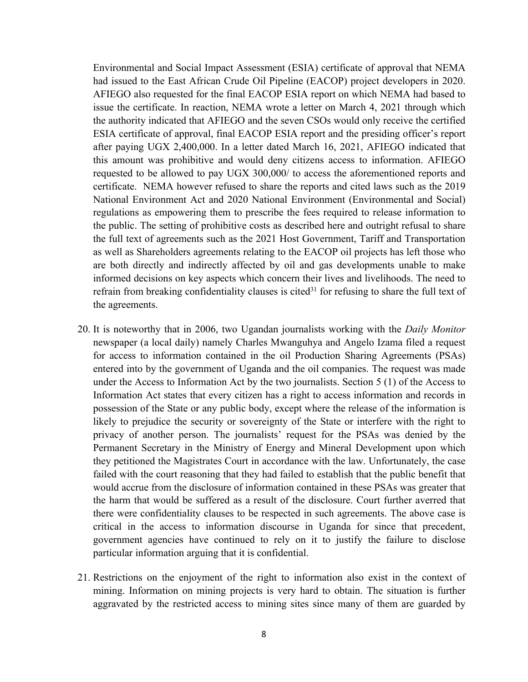Environmental and Social Impact Assessment (ESIA) certificate of approval that NEMA had issued to the East African Crude Oil Pipeline (EACOP) project developers in 2020. AFIEGO also requested for the final EACOP ESIA repor<sup>t</sup> on which NEMA had based to issue the certificate. In reaction, NEMA wrote <sup>a</sup> letter on March 4, 2021 through which the authority indicated that AFIEGO and the seven CSOs would only receive the certified ESIA certificate of approval, final EACOP ESIA repor<sup>t</sup> and the presiding officer'<sup>s</sup> repor<sup>t</sup> after paying UGX 2,400,000. In <sup>a</sup> letter dated March 16, 2021, AFIEGO indicated that this amount was prohibitive and would deny citizens access to information. AFIEGO requested to be allowed to pay UGX 300,000/ to access the aforementioned reports and certificate. NEMA however refused to share the reports and cited laws such as the 2019 National Environment Act and 2020 National Environment (Environmental and Social) regulations as empowering them to prescribe the fees required to release information to the public. The setting of prohibitive costs as described here and outright refusal to share the full text of agreements such as the 2021 Host Government, Tariff and Transportation as well as Shareholders agreements relating to the EACOP oil projects has left those who are both directly and indirectly affected by oil and gas developments unable to make informed decisions on key aspects which concern their lives and livelihoods. The need to refrain from breaking confidentiality clauses is cited $^{31}$  for refusing to share the full text of the agreements.

- 20. It is noteworthy that in 2006, two Ugandan journalists working with the *Daily Monitor* newspaper (a local daily) namely Charles Mwanguhya and Angelo Izama filed <sup>a</sup> reques<sup>t</sup> for access to information contained in the oil Production Sharing Agreements (PSAs) entered into by the governmen<sup>t</sup> of Uganda and the oil companies. The reques<sup>t</sup> was made under the Access to Information Act by the two journalists. Section 5 (1) of the Access to Information Act states that every citizen has <sup>a</sup> right to access information and records in possession of the State or any public body, excep<sup>t</sup> where the release of the information is likely to prejudice the security or sovereignty of the State or interfere with the right to privacy of another person. The journalists' reques<sup>t</sup> for the PSAs was denied by the Permanent Secretary in the Ministry of Energy and Mineral Development upon which they petitioned the Magistrates Court in accordance with the law. Unfortunately, the case failed with the court reasoning that they had failed to establish that the public benefit that would accrue from the disclosure of information contained in these PSAs was greater that the harm that would be suffered as <sup>a</sup> result of the disclosure. Court further averred that there were confidentiality clauses to be respected in such agreements. The above case is critical in the access to information discourse in Uganda for since that precedent, governmen<sup>t</sup> agencies have continued to rely on it to justify the failure to disclose particular information arguing that it is confidential.
- 21. Restrictions on the enjoyment of the right to information also exist in the context of mining. Information on mining projects is very hard to obtain. The situation is further aggravated by the restricted access to mining sites since many of them are guarded by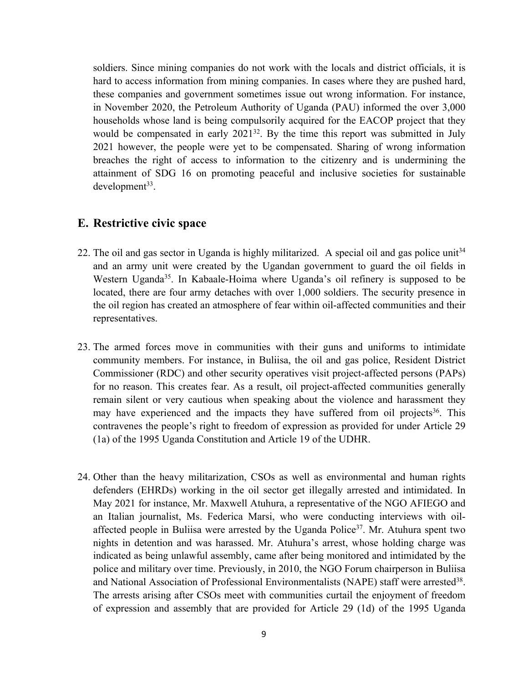soldiers. Since mining companies do not work with the locals and district officials, it is hard to access information from mining companies. In cases where they are pushed hard, these companies and governmen<sup>t</sup> sometimes issue out wrong information. For instance, in November 2020, the Petroleum Authority of Uganda (PAU) informed the over 3,000 households whose land is being compulsorily acquired for the EACOP project that they would be compensated in early 2021<sup>32</sup>. By the time this report was submitted in July 2021 however, the people were ye<sup>t</sup> to be compensated. Sharing of wrong information breaches the right of access to information to the citizenry and is undermining the attainment of SDG 16 on promoting peaceful and inclusive societies for sustainable development 33 .

#### **E. Restrictive civic space**

- 22. The oil and gas sector in Uganda is highly militarized. A special oil and gas police unit<sup>34</sup> and an army unit were created by the Ugandan governmen<sup>t</sup> to guard the oil fields in Western Uganda<sup>35</sup>. In Kabaale-Hoima where Uganda's oil refinery is supposed to be located, there are four army detaches with over 1,000 soldiers. The security presence in the oil region has created an atmosphere of fear within oil-affected communities and their representatives.
- 23. The armed forces move in communities with their guns and uniforms to intimidate community members. For instance, in Buliisa, the oil and gas police, Resident District Commissioner (RDC) and other security operatives visit project-affected persons (PAPs) for no reason. This creates fear. As <sup>a</sup> result, oil project-affected communities generally remain silent or very cautious when speaking about the violence and harassment they may have experienced and the impacts they have suffered from oil projects<sup>36</sup>. This contravenes the people'<sup>s</sup> right to freedom of expression as provided for under Article 29 (1a) of the 1995 Uganda Constitution and Article 19 of the UDHR.
- 24. Other than the heavy militarization, CSOs as well as environmental and human rights defenders (EHRDs) working in the oil sector ge<sup>t</sup> illegally arrested and intimidated. In May 2021 for instance, Mr. Maxwell Atuhura, <sup>a</sup> representative of the NGO AFIEGO and an Italian journalist, Ms. Federica Marsi, who were conducting interviews with oilaffected people in Buliisa were arrested by the Uganda Police<sup>37</sup>. Mr. Atuhura spent two nights in detention and was harassed. Mr. Atuhura'<sup>s</sup> arrest, whose holding charge was indicated as being unlawful assembly, came after being monitored and intimidated by the police and military over time. Previously, in 2010, the NGO Forum chairperson in Buliisa and National Association of Professional Environmentalists (NAPE) staff were arrested $^{38}$ . The arrests arising after CSOs meet with communities curtail the enjoyment of freedom of expression and assembly that are provided for Article 29 (1d) of the 1995 Uganda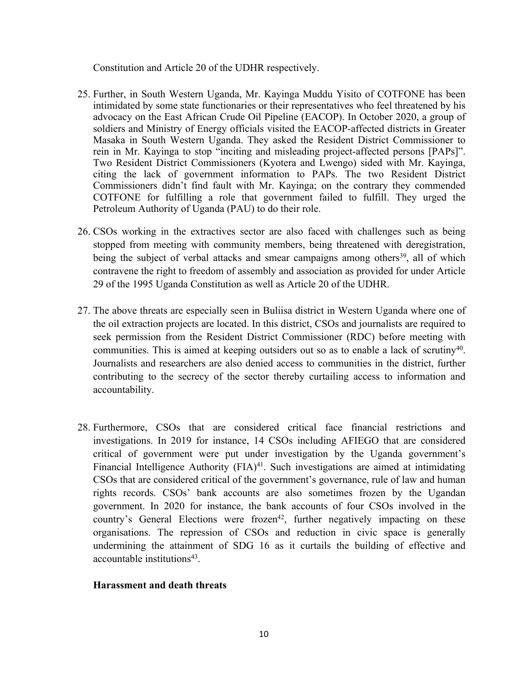Constitution and Article 20 of the UDHR respectively.

- 25. Further, in South Western Uganda, Mr. Kayinga Muddu Yisito of COTFONE has been intimidated by some state functionaries or their representatives who feel threatened by his advocacy on the East African Crude Oil Pipeline (EACOP). In October 2020, <sup>a</sup> group of soldiers and Ministry of Energy officials visited the EACOP-affected districts in Greater Masaka in South Western Uganda. They asked the Resident District Commissioner to rein in Mr. Kayinga to stop "inciting and misleading project-affected persons [PAPs]". Two Resident District Commissioners (Kyotera and Lwengo) sided with Mr. Kayinga, citing the lack of governmen<sup>t</sup> information to PAPs. The two Resident District Commissioners didn'<sup>t</sup> find fault with Mr. Kayinga; on the contrary they commended COTFONE for fulfilling <sup>a</sup> role that governmen<sup>t</sup> failed to fulfill. They urged the Petroleum Authority of Uganda (PAU) to do their role.
- 26. CSOs working in the extractives sector are also faced with challenges such as being stopped from meeting with community members, being threatened with deregistration, being the subject of verbal attacks and smear campaigns among others<sup>39</sup>, all of which contravene the right to freedom of assembly and association as provided for under Article 29 of the 1995 Uganda Constitution as well as Article 20 of the UDHR.
- 27. The above threats are especially seen in Buliisa district in Western Uganda where one of the oil extraction projects are located. In this district, CSOs and journalists are required to seek permission from the Resident District Commissioner (RDC) before meeting with communities. This is aimed at keeping outsiders out so as to enable a lack of scrutiny<sup>40</sup>. Journalists and researchers are also denied access to communities in the district, further contributing to the secrecy of the sector thereby curtailing access to information and accountability.
- 28. Furthermore, CSOs that are considered critical face financial restrictions and investigations. In 2019 for instance, 14 CSOs including AFIEGO that are considered critical of governmen<sup>t</sup> were pu<sup>t</sup> under investigation by the Uganda government'<sup>s</sup> Financial Intelligence Authority (FIA) 41 . Such investigations are aimed at intimidating CSOs that are considered critical of the government'<sup>s</sup> governance, rule of law and human rights records. CSOs' bank accounts are also sometimes frozen by the Ugandan government. In 2020 for instance, the bank accounts of four CSOs involved in the country's General Elections were frozen<sup>42</sup>, further negatively impacting on these organisations. The repression of CSOs and reduction in civic space is generally undermining the attainment of SDG 16 as it curtails the building of effective and accountable institutions 43 .

#### **Harassment and death threats**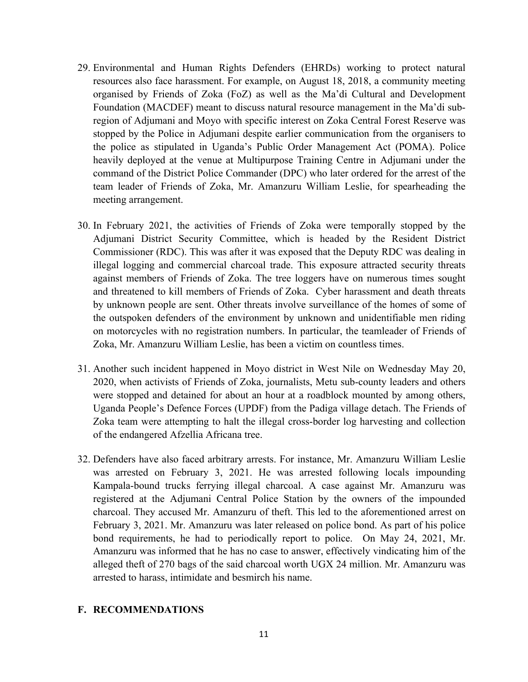- 29. Environmental and Human Rights Defenders (EHRDs) working to protect natural resources also face harassment. For example, on August 18, 2018, <sup>a</sup> community meeting organised by Friends of Zoka (FoZ) as well as the Ma'di Cultural and Development Foundation (MACDEF) meant to discuss natural resource managemen<sup>t</sup> in the Ma'di subregion of Adjumani and Moyo with specific interest on Zoka Central Forest Reserve was stopped by the Police in Adjumani despite earlier communication from the organisers to the police as stipulated in Uganda'<sup>s</sup> Public Order Management Act (POMA). Police heavily deployed at the venue at Multipurpose Training Centre in Adjumani under the command of the District Police Commander (DPC) who later ordered for the arrest of the team leader of Friends of Zoka, Mr. Amanzuru William Leslie, for spearheading the meeting arrangement.
- 30. In February 2021, the activities of Friends of Zoka were temporally stopped by the Adjumani District Security Committee, which is headed by the Resident District Commissioner (RDC). This was after it was exposed that the Deputy RDC was dealing in illegal logging and commercial charcoal trade. This exposure attracted security threats against members of Friends of Zoka. The tree loggers have on numerous times sought and threatened to kill members of Friends of Zoka. Cyber harassment and death threats by unknown people are sent. Other threats involve surveillance of the homes of some of the outspoken defenders of the environment by unknown and unidentifiable men riding on motorcycles with no registration numbers. In particular, the teamleader of Friends of Zoka, Mr. Amanzuru William Leslie, has been <sup>a</sup> victim on countless times.
- 31. Another such incident happened in Moyo district in West Nile on Wednesday May 20, 2020, when activists of Friends of Zoka, journalists, Metu sub-county leaders and others were stopped and detained for about an hour at <sup>a</sup> roadblock mounted by among others, Uganda People'<sup>s</sup> Defence Forces (UPDF) from the Padiga village detach. The Friends of Zoka team were attempting to halt the illegal cross-border log harvesting and collection of the endangered Afzellia Africana tree.
- 32. Defenders have also faced arbitrary arrests. For instance, Mr. Amanzuru William Leslie was arrested on February 3, 2021. He was arrested following locals impounding Kampala-bound trucks ferrying illegal charcoal. A case against Mr. Amanzuru was registered at the Adjumani Central Police Station by the owners of the impounded charcoal. They accused Mr. Amanzuru of theft. This led to the aforementioned arrest on February 3, 2021. Mr. Amanzuru was later released on police bond. As par<sup>t</sup> of his police bond requirements, he had to periodically repor<sup>t</sup> to police. On May 24, 2021, Mr. Amanzuru was informed that he has no case to answer, effectively vindicating him of the alleged theft of 270 bags of the said charcoal worth UGX 24 million. Mr. Amanzuru was arrested to harass, intimidate and besmirch his name.

#### **F. RECOMMENDATIONS**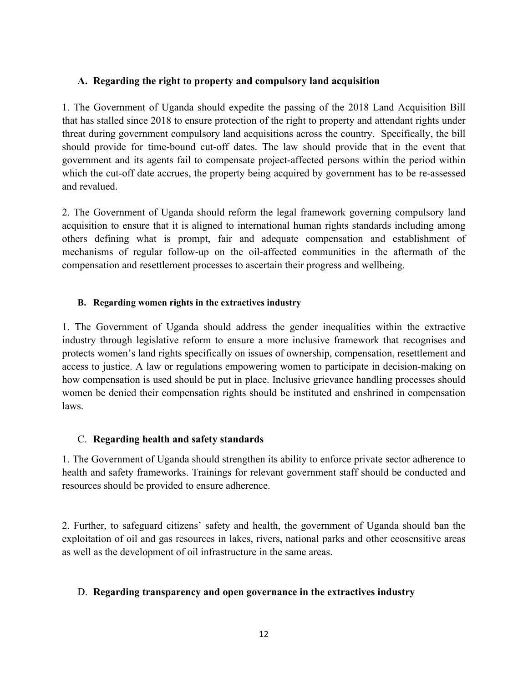#### **A. Regarding the right to property and compulsory land acquisition**

1. The Government of Uganda should expedite the passing of the 2018 Land Acquisition Bill that has stalled since 2018 to ensure protection of the right to property and attendant rights under threat during governmen<sup>t</sup> compulsory land acquisitions across the country. Specifically, the bill should provide for time-bound cut-off dates. The law should provide that in the event that governmen<sup>t</sup> and its agents fail to compensate project-affected persons within the period within which the cut-off date accrues, the property being acquired by governmen<sup>t</sup> has to be re-assessed and revalued.

2. The Government of Uganda should reform the legal framework governing compulsory land acquisition to ensure that it is aligned to international human rights standards including among others defining what is prompt, fair and adequate compensation and establishment of mechanisms of regular follow-up on the oil-affected communities in the aftermath of the compensation and resettlement processes to ascertain their progress and wellbeing.

#### **B. Regarding women rights in the extractives industry**

1. The Government of Uganda should address the gender inequalities within the extractive industry through legislative reform to ensure <sup>a</sup> more inclusive framework that recognises and protects women'<sup>s</sup> land rights specifically on issues of ownership, compensation, resettlement and access to justice. A law or regulations empowering women to participate in decision-making on how compensation is used should be pu<sup>t</sup> in place. Inclusive grievance handling processes should women be denied their compensation rights should be instituted and enshrined in compensation laws.

#### C. **Regarding health and safety standards**

1. The Government of Uganda should strengthen its ability to enforce private sector adherence to health and safety frameworks. Trainings for relevant governmen<sup>t</sup> staff should be conducted and resources should be provided to ensure adherence.

2. Further, to safeguard citizens' safety and health, the governmen<sup>t</sup> of Uganda should ban the exploitation of oil and gas resources in lakes, rivers, national parks and other ecosensitive areas as well as the development of oil infrastructure in the same areas.

#### D. **Regarding transparency and open governance in the extractives industry**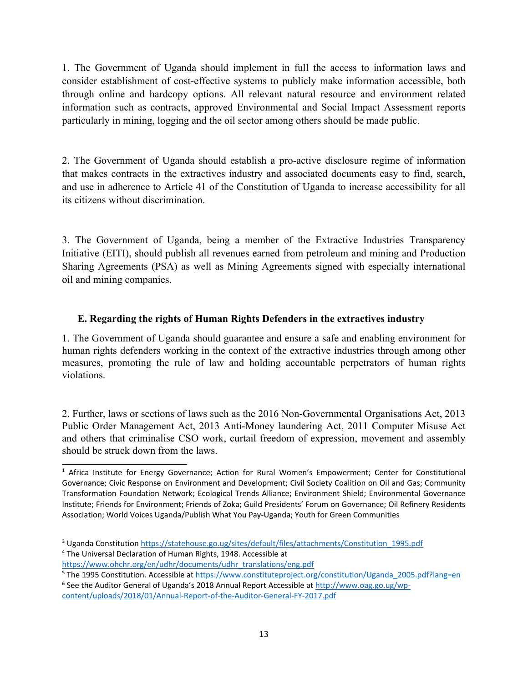1. The Government of Uganda should implement in full the access to information laws and consider establishment of cost-effective systems to publicly make information accessible, both through online and hardcopy options. All relevant natural resource and environment related information such as contracts, approved Environmental and Social Impact Assessment reports particularly in mining, logging and the oil sector among others should be made public.

2. The Government of Uganda should establish <sup>a</sup> pro-active disclosure regime of information that makes contracts in the extractives industry and associated documents easy to find, search, and use in adherence to Article 41 of the Constitution of Uganda to increase accessibility for all its citizens without discrimination.

3. The Government of Uganda, being <sup>a</sup> member of the Extractive Industries Transparency Initiative (EITI), should publish all revenues earned from petroleum and mining and Production Sharing Agreements (PSA) as well as Mining Agreements signed with especially international oil and mining companies.

### **E. Regarding the rights of Human Rights Defenders in the extractives industry**

1. The Government of Uganda should guarantee and ensure <sup>a</sup> safe and enabling environment for human rights defenders working in the context of the extractive industries through among other measures, promoting the rule of law and holding accountable perpetrators of human rights violations.

2. Further, laws or sections of laws such as the 2016 Non-Governmental Organisations Act, 2013 Public Order Management Act, 2013 Anti-Money laundering Act, 2011 Computer Misuse Act and others that criminalise CSO work, curtail freedom of expression, movement and assembly should be struck down from the laws.

<sup>&</sup>lt;sup>1</sup> Africa Institute for Energy Governance; Action for Rural Women's Empowerment; Center for Constitutional Governance; Civic Response on Environment and Development; Civil Society Coalition on Oil and Gas; Community Transformation Foundation Network; Ecological Trends Alliance; Environment Shield; Environmental Governance Institute; Friends for Environment; Friends of Zoka; Guild Presidents' Forum on Governance; Oil Refinery Residents Association; World Voices Uganda/Publish What You Pay-Uganda; Youth for Green Communities

<sup>&</sup>lt;sup>3</sup> Uganda Constitution [https://statehouse.go.ug/sites/default/files/attachments/Constitution\\_1995.pdf](https://statehouse.go.ug/sites/default/files/attachments/Constitution_1995.pdf) 4 The Universal Declaration of Human Rights, 1948. Accessible at

[https://www.ohchr.org/en/udhr/documents/udhr\\_translations/eng.pdf](https://www.ohchr.org/en/udhr/documents/udhr_translations/eng.pdf)

<sup>&</sup>lt;sup>5</sup> The 1995 Constitution. Accessible at [https://www.constituteproject.org/constitution/Uganda\\_2005.pdf?lang=en](https://www.constituteproject.org/constitution/Uganda_2005.pdf?lang=en)

<sup>&</sup>lt;sup>6</sup> See the Auditor General of Uganda's 2018 Annual Report Accessible at [http://www.oag.go.ug/wp](http://www.oag.go.ug/wp-content/uploads/2018/01/Annual-Report-of-the-Auditor-General-FY-2017.pdf)[content/uploads/2018/01/Annual-Report-of-the-Auditor-General-FY-2017.pdf](http://www.oag.go.ug/wp-content/uploads/2018/01/Annual-Report-of-the-Auditor-General-FY-2017.pdf)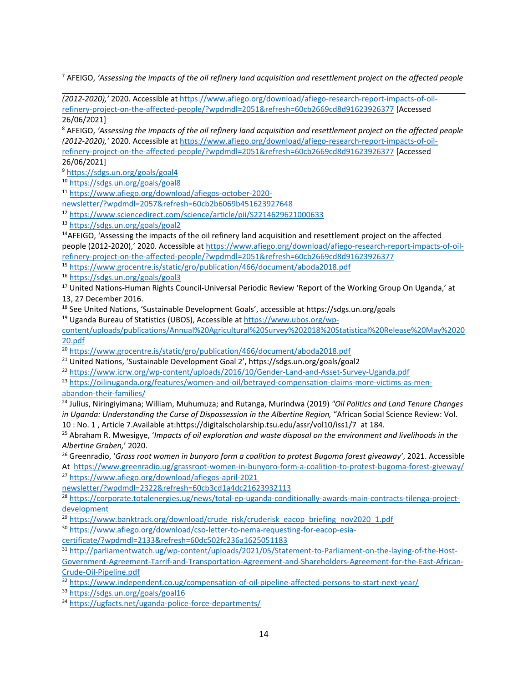<sup>7</sup> AFEIGO, 'Assessing the impacts of the oil refinery land acquisition and resettlement project on the affected people

*(2012-2020),'* 2020. Accessible at [https://www.afiego.org/download/afiego-research-report-impacts-of-oil](https://www.afiego.org/download/afiego-research-report-impacts-of-oil-refinery-project-on-the-affected-people/?wpdmdl=2051&refresh=60cb2669cd8d91623926377)[refinery-project-on-the-affected-people/?wpdmdl=2051&refresh=60cb2669cd8d91623926377](https://www.afiego.org/download/afiego-research-report-impacts-of-oil-refinery-project-on-the-affected-people/?wpdmdl=2051&refresh=60cb2669cd8d91623926377) [Accessed 26/06/2021]

<sup>8</sup> AFEIGO, 'Assessing the impacts of the oil refinery land acquisition and resettlement project on the affected people *(2012-2020),'* 2020. Accessible at [https://www.afiego.org/download/afiego-research-report-impacts-of-oil](https://www.afiego.org/download/afiego-research-report-impacts-of-oil-refinery-project-on-the-affected-people/?wpdmdl=2051&refresh=60cb2669cd8d91623926377)[refinery-project-on-the-affected-people/?wpdmdl=2051&refresh=60cb2669cd8d91623926377](https://www.afiego.org/download/afiego-research-report-impacts-of-oil-refinery-project-on-the-affected-people/?wpdmdl=2051&refresh=60cb2669cd8d91623926377) [Accessed 26/06/2021]

9 <https://sdgs.un.org/goals/goal4>

<sup>10</sup> <https://sdgs.un.org/goals/goal8>

<sup>11</sup> [https://www.afiego.org/download/afiegos-october-2020-](https://www.afiego.org/download/afiegos-october-2020-newsletter/?wpdmdl=2057&refresh=60cb2b6069b451623927648)

[newsletter/?wpdmdl=2057&refresh=60cb2b6069b451623927648](https://www.afiego.org/download/afiegos-october-2020-newsletter/?wpdmdl=2057&refresh=60cb2b6069b451623927648)

12 <https://www.sciencedirect.com/science/article/pii/S2214629621000633>

<sup>13</sup> <https://sdgs.un.org/goals/goal2>

<sup>14</sup>AFEIGO, 'Assessing the impacts of the oil refinery land acquisition and resettlement project on the affected people (2012-2020),' 2020. Accessible at [https://www.afiego.org/download/afiego-research-report-impacts-of-oil](https://www.afiego.org/download/afiego-research-report-impacts-of-oil-refinery-project-on-the-affected-people/?wpdmdl=2051&refresh=60cb2669cd8d91623926377)[refinery-project-on-the-affected-people/?wpdmdl=2051&refresh=60cb2669cd8d91623926377](https://www.afiego.org/download/afiego-research-report-impacts-of-oil-refinery-project-on-the-affected-people/?wpdmdl=2051&refresh=60cb2669cd8d91623926377)

<sup>15</sup> <https://www.grocentre.is/static/gro/publication/466/document/aboda2018.pdf>

<sup>16</sup> <https://sdgs.un.org/goals/goal3>

<sup>17</sup> United Nations-Human Rights Council-Universal Periodic Review 'Report of the Working Group On Uganda,' at 13, 27 December 2016.

<sup>18</sup> See United Nations, 'Sustainable Development Goals', accessible at https://sdgs.un.org/goals

<sup>19</sup> Uganda Bureau of Statistics (UBOS), Accessible at [https://www.ubos.org/wp-](https://www.ubos.org/wp-content/uploads/publications/Annual%20Agricultural%20Survey%202018%20Statistical%20Release%20May%202020.pdf)

[content/uploads/publications/Annual%20Agricultural%20Survey%202018%20Statistical%20Release%20May%2020](https://www.ubos.org/wp-content/uploads/publications/Annual%20Agricultural%20Survey%202018%20Statistical%20Release%20May%202020.pdf) [20.pdf](https://www.ubos.org/wp-content/uploads/publications/Annual%20Agricultural%20Survey%202018%20Statistical%20Release%20May%202020.pdf)

<sup>20</sup> <https://www.grocentre.is/static/gro/publication/466/document/aboda2018.pdf>

<sup>21</sup> United Nations, 'Sustainable Development Goal 2', https://sdgs.un.org/goals/goal2

22 <https://www.icrw.org/wp-content/uploads/2016/10/Gender-Land-and-Asset-Survey-Uganda.pdf>

<sup>23</sup> [https://oilinuganda.org/features/women-and-oil/betrayed-compensation-claims-more-victims-as-men](https://oilinuganda.org/features/women-and-oil/betrayed-compensation-claims-more-victims-as-men-abandon-their-families/)[abandon-their-families/](https://oilinuganda.org/features/women-and-oil/betrayed-compensation-claims-more-victims-as-men-abandon-their-families/)

24 Julius, Niringiyimana; William, Muhumuza; and Rutanga, Murindwa (2019) *"Oil Politics and Land Tenure Changes in Uganda: Understanding the Curse of Dispossession in the Albertine Region,* "African Social Science Review: Vol. 10 : No. 1 , Article 7.Available at:https://digitalscholarship.tsu.edu/assr/vol10/iss1/7 at 184.

25 Abraham R. Mwesigye, '*Impacts of oil exploration and waste disposal on the environment and livelihoods in the Albertine Graben,*' 2020.

26 Greenradio, '*Grass root women in bunyoro form <sup>a</sup> coalition to protest Bugoma forest giveaway'*, 2021. Accessible At <https://www.greenradio.ug/grassroot-women-in-bunyoro-form-a-coalition-to-protest-bugoma-forest-giveway/> 27 [https://www.afiego.org/download/afiegos-april-2021](https://www.afiego.org/download/afiegos-april-2021%20newsletter/?wpdmdl=2322&refresh=60cb3cd1a4dc21623932113)

[newsletter/?wpdmdl=2322&refresh=60cb3cd1a4dc21623932113](https://www.afiego.org/download/afiegos-april-2021%20newsletter/?wpdmdl=2322&refresh=60cb3cd1a4dc21623932113)

<sup>28</sup> [https://corporate.totalenergies.ug/news/total-ep-uganda-conditionally-awards-main-contracts-tilenga-project](https://corporate.totalenergies.ug/news/total-ep-uganda-conditionally-awards-main-contracts-tilenga-project-development)[development](https://corporate.totalenergies.ug/news/total-ep-uganda-conditionally-awards-main-contracts-tilenga-project-development)

<sup>29</sup> [https://www.banktrack.org/download/crude\\_risk/cruderisk\\_eacop\\_briefing\\_nov2020\\_1.pdf](https://www.banktrack.org/download/crude_risk/cruderisk_eacop_briefing_nov2020_1.pdf)

30 [https://www.afiego.org/download/cso-letter-to-nema-requesting-for-eacop-esia-](https://www.afiego.org/download/cso-letter-to-nema-requesting-for-eacop-esia-certificate/?wpdmdl=2133&refresh=60dc502fc236a1625051183)

[certificate/?wpdmdl=2133&refresh=60dc502fc236a1625051183](https://www.afiego.org/download/cso-letter-to-nema-requesting-for-eacop-esia-certificate/?wpdmdl=2133&refresh=60dc502fc236a1625051183)

31 [http://parliamentwatch.ug/wp-content/uploads/2021/05/Statement-to-Parliament-on-the-laying-of-the-Host-](http://parliamentwatch.ug/wp-content/uploads/2021/05/Statement-to-Parliament-on-the-laying-of-the-Host-Government-Agreement-Tarrif-and-Transportation-Agreement-and-Shareholders-Agreement-for-the-East-African-Crude-Oil-Pipeline.pdf)[Government-Agreement-Tarrif-and-Transportation-Agreement-and-Shareholders-Agreement-for-the-East-African-](http://parliamentwatch.ug/wp-content/uploads/2021/05/Statement-to-Parliament-on-the-laying-of-the-Host-Government-Agreement-Tarrif-and-Transportation-Agreement-and-Shareholders-Agreement-for-the-East-African-Crude-Oil-Pipeline.pdf)

[Crude-Oil-Pipeline.pdf](http://parliamentwatch.ug/wp-content/uploads/2021/05/Statement-to-Parliament-on-the-laying-of-the-Host-Government-Agreement-Tarrif-and-Transportation-Agreement-and-Shareholders-Agreement-for-the-East-African-Crude-Oil-Pipeline.pdf)

32 <https://www.independent.co.ug/compensation-of-oil-pipeline-affected-persons-to-start-next-year/>

<sup>33</sup> <https://sdgs.un.org/goals/goal16>

<sup>34</sup> <https://ugfacts.net/uganda-police-force-departments/>